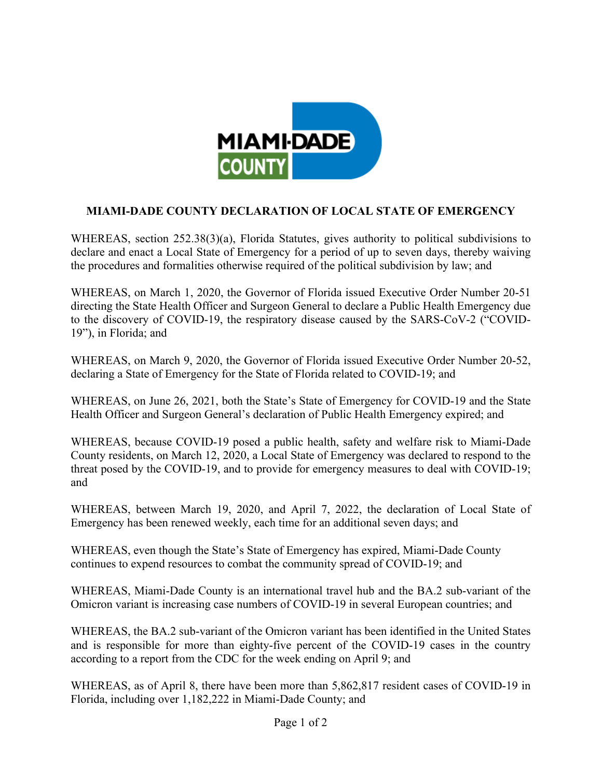

## **MIAMI-DADE COUNTY DECLARATION OF LOCAL STATE OF EMERGENCY**

WHEREAS, section 252.38(3)(a), Florida Statutes, gives authority to political subdivisions to declare and enact a Local State of Emergency for a period of up to seven days, thereby waiving the procedures and formalities otherwise required of the political subdivision by law; and

WHEREAS, on March 1, 2020, the Governor of Florida issued Executive Order Number 20-51 directing the State Health Officer and Surgeon General to declare a Public Health Emergency due to the discovery of COVID-19, the respiratory disease caused by the SARS-CoV-2 ("COVID-19"), in Florida; and

WHEREAS, on March 9, 2020, the Governor of Florida issued Executive Order Number 20-52, declaring a State of Emergency for the State of Florida related to COVID-19; and

WHEREAS, on June 26, 2021, both the State's State of Emergency for COVID-19 and the State Health Officer and Surgeon General's declaration of Public Health Emergency expired; and

WHEREAS, because COVID-19 posed a public health, safety and welfare risk to Miami-Dade County residents, on March 12, 2020, a Local State of Emergency was declared to respond to the threat posed by the COVID-19, and to provide for emergency measures to deal with COVID-19; and

WHEREAS, between March 19, 2020, and April 7, 2022, the declaration of Local State of Emergency has been renewed weekly, each time for an additional seven days; and

WHEREAS, even though the State's State of Emergency has expired, Miami-Dade County continues to expend resources to combat the community spread of COVID-19; and

WHEREAS, Miami-Dade County is an international travel hub and the BA.2 sub-variant of the Omicron variant is increasing case numbers of COVID-19 in several European countries; and

WHEREAS, the BA.2 sub-variant of the Omicron variant has been identified in the United States and is responsible for more than eighty-five percent of the COVID-19 cases in the country according to a report from the CDC for the week ending on April 9; and

WHEREAS, as of April 8, there have been more than 5,862,817 resident cases of COVID-19 in Florida, including over 1,182,222 in Miami-Dade County; and